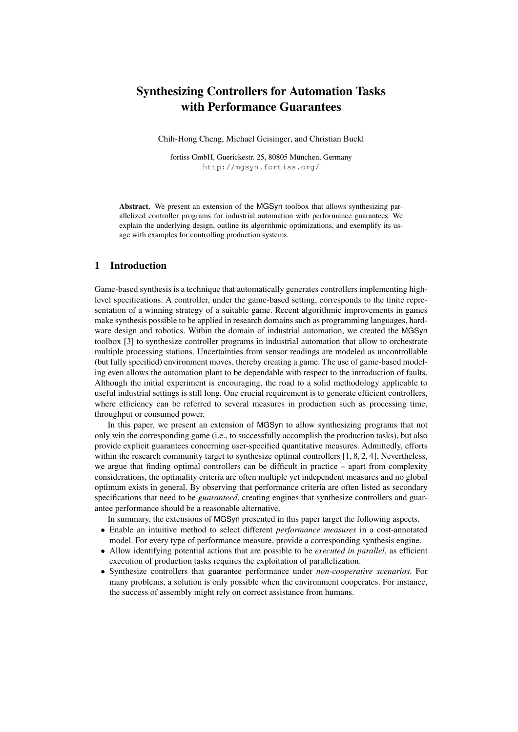# Synthesizing Controllers for Automation Tasks with Performance Guarantees

Chih-Hong Cheng, Michael Geisinger, and Christian Buckl

fortiss GmbH, Guerickestr. 25, 80805 München, Germany http://mgsyn.fortiss.org/

Abstract. We present an extension of the MGSyn toolbox that allows synthesizing parallelized controller programs for industrial automation with performance guarantees. We explain the underlying design, outline its algorithmic optimizations, and exemplify its usage with examples for controlling production systems.

### 1 Introduction

Game-based synthesis is a technique that automatically generates controllers implementing highlevel specifications. A controller, under the game-based setting, corresponds to the finite representation of a winning strategy of a suitable game. Recent algorithmic improvements in games make synthesis possible to be applied in research domains such as programming languages, hardware design and robotics. Within the domain of industrial automation, we created the MGSyn toolbox [3] to synthesize controller programs in industrial automation that allow to orchestrate multiple processing stations. Uncertainties from sensor readings are modeled as uncontrollable (but fully specified) environment moves, thereby creating a game. The use of game-based modeling even allows the automation plant to be dependable with respect to the introduction of faults. Although the initial experiment is encouraging, the road to a solid methodology applicable to useful industrial settings is still long. One crucial requirement is to generate efficient controllers, where efficiency can be referred to several measures in production such as processing time, throughput or consumed power.

In this paper, we present an extension of MGSyn to allow synthesizing programs that not only win the corresponding game (i.e., to successfully accomplish the production tasks), but also provide explicit guarantees concerning user-specified quantitative measures. Admittedly, efforts within the research community target to synthesize optimal controllers [1, 8, 2, 4]. Nevertheless, we argue that finding optimal controllers can be difficult in practice – apart from complexity considerations, the optimality criteria are often multiple yet independent measures and no global optimum exists in general. By observing that performance criteria are often listed as secondary specifications that need to be *guaranteed*, creating engines that synthesize controllers and guarantee performance should be a reasonable alternative.

In summary, the extensions of MGSyn presented in this paper target the following aspects.

- Enable an intuitive method to select different *performance measures* in a cost-annotated model. For every type of performance measure, provide a corresponding synthesis engine.
- Allow identifying potential actions that are possible to be *executed in parallel*, as efficient execution of production tasks requires the exploitation of parallelization.
- Synthesize controllers that guarantee performance under *non-cooperative scenarios*. For many problems, a solution is only possible when the environment cooperates. For instance, the success of assembly might rely on correct assistance from humans.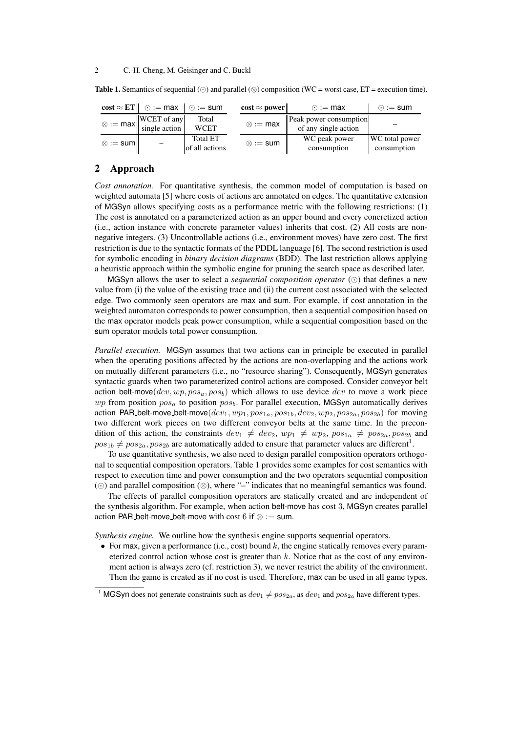#### 2 C.-H. Cheng, M. Geisinger and C. Buckl

|                                                                                  | $\cos t \approx E T \parallel \odot := \text{max}$ | $\circ$ := sum |  | $\cos t \approx \text{power}$ | $\odot$ := max                                                                                               | $\odot$ := sum |
|----------------------------------------------------------------------------------|----------------------------------------------------|----------------|--|-------------------------------|--------------------------------------------------------------------------------------------------------------|----------------|
| $\infty := \max \left  \frac{\text{WCEPT of any}}{\text{single action}} \right $ |                                                    | Total          |  |                               |                                                                                                              |                |
|                                                                                  |                                                    | <b>WCET</b>    |  | $\otimes := \max$             | $\left\  \begin{array}{c} \text{Peak power consumption} \\ \text{of any single action} \end{array} \right\ $ |                |
| $\otimes := \mathsf{sum}$                                                        |                                                    | Total ET       |  | $\otimes := \text{sum}$       | WC peak power                                                                                                | WC total power |
|                                                                                  |                                                    | of all actions |  |                               | consumption                                                                                                  | consumption    |

**Table 1.** Semantics of sequential  $(\odot)$  and parallel  $(\otimes)$  composition (WC = worst case, ET = execution time).

# 2 Approach

*Cost annotation.* For quantitative synthesis, the common model of computation is based on weighted automata [5] where costs of actions are annotated on edges. The quantitative extension of MGSyn allows specifying costs as a performance metric with the following restrictions: (1) The cost is annotated on a parameterized action as an upper bound and every concretized action (i.e., action instance with concrete parameter values) inherits that cost. (2) All costs are nonnegative integers. (3) Uncontrollable actions (i.e., environment moves) have zero cost. The first restriction is due to the syntactic formats of the PDDL language [6]. The second restriction is used for symbolic encoding in *binary decision diagrams* (BDD). The last restriction allows applying a heuristic approach within the symbolic engine for pruning the search space as described later.

MGSyn allows the user to select a *sequential composition operator*  $(\odot)$  that defines a new value from (i) the value of the existing trace and (ii) the current cost associated with the selected edge. Two commonly seen operators are max and sum. For example, if cost annotation in the weighted automaton corresponds to power consumption, then a sequential composition based on the max operator models peak power consumption, while a sequential composition based on the sum operator models total power consumption.

*Parallel execution.* MGSyn assumes that two actions can in principle be executed in parallel when the operating positions affected by the actions are non-overlapping and the actions work on mutually different parameters (i.e., no "resource sharing"). Consequently, MGSyn generates syntactic guards when two parameterized control actions are composed. Consider conveyor belt action belt-move( $dev, wp, pos_a, pos_b$ ) which allows to use device dev to move a work piece  $wp$  from position  $pos_a$  to position  $pos_b$ . For parallel execution, MGSyn automatically derives action PAR belt-move belt-move $(dev_1, wp_1, pos_{1a}, pos_{1b}, dev_2, wp_2, pos_{2a}, pos_{2b})$  for moving two different work pieces on two different conveyor belts at the same time. In the precondition of this action, the constraints  $dev_1 \neq dev_2$ ,  $wp_1 \neq wp_2$ ,  $pos_{1a} \neq pos_{2a}$ ,  $pos_{2b}$  and  $pos_{1b} \neq pos_{2a}, pos_{2b}$  are automatically added to ensure that parameter values are different<sup>1</sup>.

To use quantitative synthesis, we also need to design parallel composition operators orthogonal to sequential composition operators. Table 1 provides some examples for cost semantics with respect to execution time and power consumption and the two operators sequential composition () and parallel composition (⊗), where "–" indicates that no meaningful semantics was found.

The effects of parallel composition operators are statically created and are independent of the synthesis algorithm. For example, when action belt-move has cost 3, MGSyn creates parallel action PAR belt-move belt-move with cost 6 if  $\otimes :=$  sum.

*Synthesis engine.* We outline how the synthesis engine supports sequential operators.

• For max, given a performance (i.e., cost) bound k, the engine statically removes every parameterized control action whose cost is greater than  $k$ . Notice that as the cost of any environment action is always zero (cf. restriction 3), we never restrict the ability of the environment. Then the game is created as if no cost is used. Therefore, max can be used in all game types.

<sup>&</sup>lt;sup>1</sup> MGSyn does not generate constraints such as  $dev_1 \neq pos_{2a}$ , as  $dev_1$  and  $pos_{2a}$  have different types.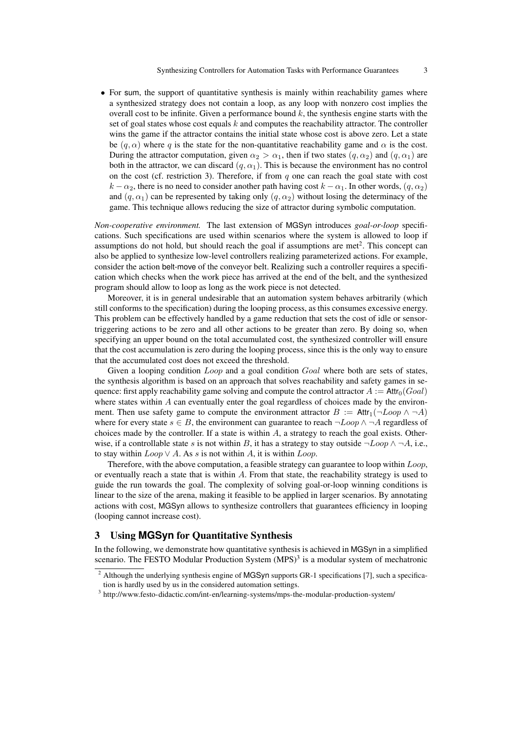• For sum, the support of quantitative synthesis is mainly within reachability games where a synthesized strategy does not contain a loop, as any loop with nonzero cost implies the overall cost to be infinite. Given a performance bound  $k$ , the synthesis engine starts with the set of goal states whose cost equals  $k$  and computes the reachability attractor. The controller wins the game if the attractor contains the initial state whose cost is above zero. Let a state be  $(q, \alpha)$  where q is the state for the non-quantitative reachability game and  $\alpha$  is the cost. During the attractor computation, given  $\alpha_2 > \alpha_1$ , then if two states  $(q, \alpha_2)$  and  $(q, \alpha_1)$  are both in the attractor, we can discard  $(q, \alpha_1)$ . This is because the environment has no control on the cost (cf. restriction 3). Therefore, if from  $q$  one can reach the goal state with cost  $k - \alpha_2$ , there is no need to consider another path having cost  $k - \alpha_1$ . In other words,  $(q, \alpha_2)$ and  $(q, \alpha_1)$  can be represented by taking only  $(q, \alpha_2)$  without losing the determinacy of the game. This technique allows reducing the size of attractor during symbolic computation.

*Non-cooperative environment.* The last extension of MGSyn introduces *goal-or-loop* specifications. Such specifications are used within scenarios where the system is allowed to loop if assumptions do not hold, but should reach the goal if assumptions are met<sup>2</sup>. This concept can also be applied to synthesize low-level controllers realizing parameterized actions. For example, consider the action belt-move of the conveyor belt. Realizing such a controller requires a specification which checks when the work piece has arrived at the end of the belt, and the synthesized program should allow to loop as long as the work piece is not detected.

Moreover, it is in general undesirable that an automation system behaves arbitrarily (which still conforms to the specification) during the looping process, as this consumes excessive energy. This problem can be effectively handled by a game reduction that sets the cost of idle or sensortriggering actions to be zero and all other actions to be greater than zero. By doing so, when specifying an upper bound on the total accumulated cost, the synthesized controller will ensure that the cost accumulation is zero during the looping process, since this is the only way to ensure that the accumulated cost does not exceed the threshold.

Given a looping condition *Loop* and a goal condition *Goal* where both are sets of states, the synthesis algorithm is based on an approach that solves reachability and safety games in sequence: first apply reachability game solving and compute the control attractor  $A := \text{Attr}_0(Goa)$ where states within  $\vec{A}$  can eventually enter the goal regardless of choices made by the environment. Then use safety game to compute the environment attractor  $B := \text{Attr}_1(\neg Loop \land \neg A)$ where for every state  $s \in B$ , the environment can guarantee to reach  $\neg Loop \land \neg A$  regardless of choices made by the controller. If a state is within  $A$ , a strategy to reach the goal exists. Otherwise, if a controllable state s is not within B, it has a strategy to stay outside  $\neg Loop \land \neg A$ , i.e., to stay within  $Loop \vee A$ . As s is not within A, it is within  $Loop$ .

Therefore, with the above computation, a feasible strategy can guarantee to loop within Loop, or eventually reach a state that is within  $A$ . From that state, the reachability strategy is used to guide the run towards the goal. The complexity of solving goal-or-loop winning conditions is linear to the size of the arena, making it feasible to be applied in larger scenarios. By annotating actions with cost, MGSyn allows to synthesize controllers that guarantees efficiency in looping (looping cannot increase cost).

### 3 Using **MGSyn** for Quantitative Synthesis

In the following, we demonstrate how quantitative synthesis is achieved in MGSyn in a simplified scenario. The FESTO Modular Production System  $(MPS)^3$  is a modular system of mechatronic

<sup>&</sup>lt;sup>2</sup> Although the underlying synthesis engine of MGSyn supports GR-1 specifications [7], such a specification is hardly used by us in the considered automation settings.

<sup>&</sup>lt;sup>3</sup> http://www.festo-didactic.com/int-en/learning-systems/mps-the-modular-production-system/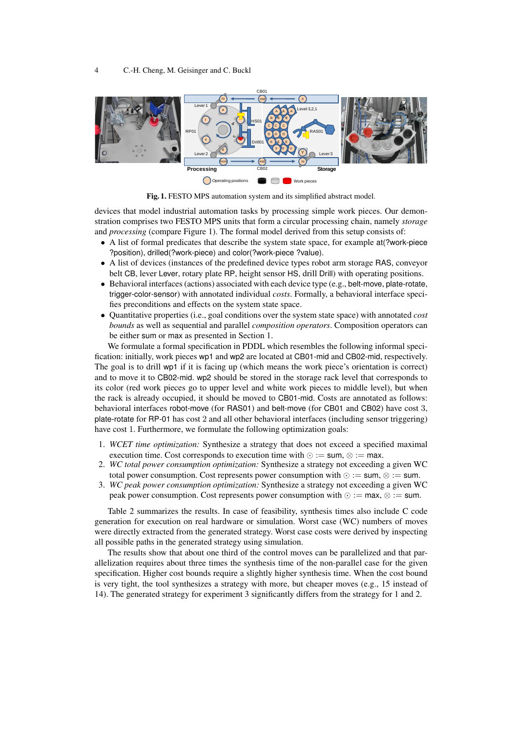

Fig. 1. FESTO MPS automation system and its simplified abstract model.

devices that model industrial automation tasks by processing simple work pieces. Our demonstration comprises two FESTO MPS units that form a circular processing chain, namely *storage* and *processing* (compare Figure 1). The formal model derived from this setup consists of:

- A list of formal predicates that describe the system state space, for example at(?work-piece ?position), drilled(?work-piece) and color(?work-piece ?value).
- A list of devices (instances of the predefined device types robot arm storage RAS, conveyor belt CB, lever Lever, rotary plate RP, height sensor HS, drill Drill) with operating positions.
- Behavioral interfaces (actions) associated with each device type (e.g., belt-move, plate-rotate, trigger-color-sensor) with annotated individual *costs*. Formally, a behavioral interface specifies preconditions and effects on the system state space.
- Quantitative properties (i.e., goal conditions over the system state space) with annotated *cost bounds* as well as sequential and parallel *composition operators*. Composition operators can be either sum or max as presented in Section 1.

We formulate a formal specification in PDDL which resembles the following informal specification: initially, work pieces wp1 and wp2 are located at CB01-mid and CB02-mid, respectively. The goal is to drill wp1 if it is facing up (which means the work piece's orientation is correct) and to move it to CB02-mid. wp2 should be stored in the storage rack level that corresponds to its color (red work pieces go to upper level and white work pieces to middle level), but when the rack is already occupied, it should be moved to CB01-mid. Costs are annotated as follows: behavioral interfaces robot-move (for RAS01) and belt-move (for CB01 and CB02) have cost 3, plate-rotate for RP-01 has cost 2 and all other behavioral interfaces (including sensor triggering) have cost 1. Furthermore, we formulate the following optimization goals:

- 1. *WCET time optimization:* Synthesize a strategy that does not exceed a specified maximal execution time. Cost corresponds to execution time with  $\odot$  := sum,  $\otimes$  := max.
- 2. *WC total power consumption optimization:* Synthesize a strategy not exceeding a given WC total power consumption. Cost represents power consumption with  $\odot$  := sum,  $\otimes$  := sum.
- 3. *WC peak power consumption optimization:* Synthesize a strategy not exceeding a given WC peak power consumption. Cost represents power consumption with  $\odot$  := max,  $\otimes$  := sum.

Table 2 summarizes the results. In case of feasibility, synthesis times also include C code generation for execution on real hardware or simulation. Worst case (WC) numbers of moves were directly extracted from the generated strategy. Worst case costs were derived by inspecting all possible paths in the generated strategy using simulation.

The results show that about one third of the control moves can be parallelized and that parallelization requires about three times the synthesis time of the non-parallel case for the given specification. Higher cost bounds require a slightly higher synthesis time. When the cost bound is very tight, the tool synthesizes a strategy with more, but cheaper moves (e.g., 15 instead of 14). The generated strategy for experiment 3 significantly differs from the strategy for 1 and 2.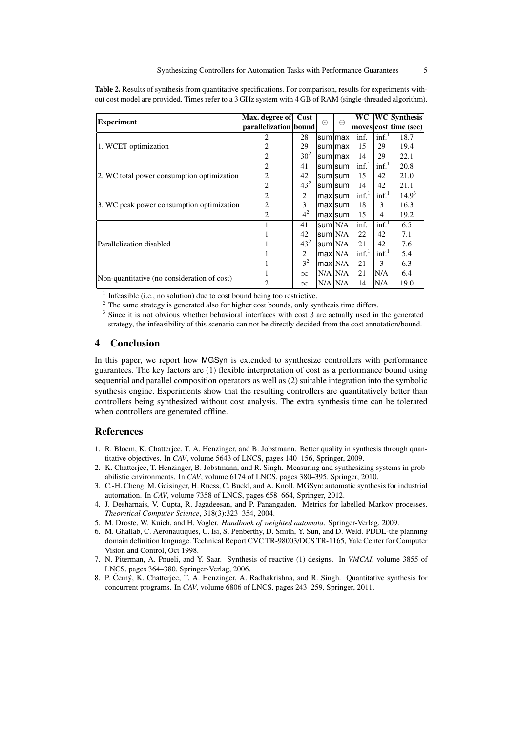Table 2. Results of synthesis from quantitative specifications. For comparison, results for experiments without cost model are provided. Times refer to a 3 GHz system with 4 GB of RAM (single-threaded algorithm).

|                                             | Max. degree of Cost   |                | $\odot$ | $\oplus$     | <b>WC</b>        |                   | <b>WC</b> Synthesis   |
|---------------------------------------------|-----------------------|----------------|---------|--------------|------------------|-------------------|-----------------------|
| <b>Experiment</b>                           | parallelization bound |                |         |              |                  |                   | moves cost time (sec) |
|                                             | 2                     | 28             |         | sum max      | inf <sup>1</sup> | inf. <sup>1</sup> | 18.7                  |
| 1. WCET optimization                        | 2                     | 29             |         | sum max      | 15               | 29                | 19.4                  |
|                                             | 2                     | $30^{2}$       |         | sum max      | 14               | 29                | 22.1                  |
|                                             | $\overline{2}$        | 41             |         | sum sum      | inf <sup>1</sup> | inf.              | 20.8                  |
| 2. WC total power consumption optimization  | $\overline{2}$        | 42             |         | sum sum      | 15               | 42                | 21.0                  |
|                                             | 2                     | $43^{2}$       |         | sum sum      | 14               | 42                | 21.1                  |
|                                             | $\overline{2}$        | 2              |         | maxisumi     | inf <sup>1</sup> | inf.              | $14.9^3$              |
| 3. WC peak power consumption optimization   | 2                     | 3              |         | max sum      | 18               | 3                 | 16.3                  |
|                                             | 2                     | 4 <sup>2</sup> |         | max sum      | 15               | 4                 | 19.2                  |
|                                             |                       | 41             |         | sum N/A      | inf <sup>1</sup> | inf <sup>1</sup>  | 6.5                   |
|                                             |                       | 42             |         | sum N/A      | 22               | 42                | 7.1                   |
| Parallelization disabled                    |                       | $43^{2}$       |         | sum N/A      | 21               | 42                | 7.6                   |
|                                             |                       | 2              |         | max N/A      | inf <sup>1</sup> | inf <sup>1</sup>  | 5.4                   |
|                                             |                       | 3 <sup>2</sup> |         | max N/A      | 21               | 3                 | 6.3                   |
|                                             |                       | $\infty$       |         | $N/A$ $N/A$  | 21               | N/A               | 6.4                   |
| Non-quantitative (no consideration of cost) |                       | $\infty$       |         | $N/A \, N/A$ | 14               | N/A               | 19.0                  |

<sup>1</sup> Infeasible (i.e., no solution) due to cost bound being too restrictive.

<sup>2</sup> The same strategy is generated also for higher cost bounds, only synthesis time differs.

3 Since it is not obvious whether behavioral interfaces with cost 3 are actually used in the generated strategy, the infeasibility of this scenario can not be directly decided from the cost annotation/bound.

# 4 Conclusion

In this paper, we report how MGSyn is extended to synthesize controllers with performance guarantees. The key factors are (1) flexible interpretation of cost as a performance bound using sequential and parallel composition operators as well as (2) suitable integration into the symbolic synthesis engine. Experiments show that the resulting controllers are quantitatively better than controllers being synthesized without cost analysis. The extra synthesis time can be tolerated when controllers are generated offline.

### References

- 1. R. Bloem, K. Chatterjee, T. A. Henzinger, and B. Jobstmann. Better quality in synthesis through quantitative objectives. In *CAV*, volume 5643 of LNCS, pages 140–156, Springer, 2009.
- 2. K. Chatterjee, T. Henzinger, B. Jobstmann, and R. Singh. Measuring and synthesizing systems in probabilistic environments. In *CAV*, volume 6174 of LNCS, pages 380–395. Springer, 2010.
- 3. C.-H. Cheng, M. Geisinger, H. Ruess, C. Buckl, and A. Knoll. MGSyn: automatic synthesis for industrial automation. In *CAV*, volume 7358 of LNCS, pages 658–664, Springer, 2012.
- 4. J. Desharnais, V. Gupta, R. Jagadeesan, and P. Panangaden. Metrics for labelled Markov processes. *Theoretical Computer Science*, 318(3):323–354, 2004.
- 5. M. Droste, W. Kuich, and H. Vogler. *Handbook of weighted automata*. Springer-Verlag, 2009.
- 6. M. Ghallab, C. Aeronautiques, C. Isi, S. Penberthy, D. Smith, Y. Sun, and D. Weld. PDDL-the planning domain definition language. Technical Report CVC TR-98003/DCS TR-1165, Yale Center for Computer Vision and Control, Oct 1998.
- 7. N. Piterman, A. Pnueli, and Y. Saar. Synthesis of reactive (1) designs. In *VMCAI*, volume 3855 of LNCS, pages 364–380. Springer-Verlag, 2006.
- 8. P. Černý, K. Chatterjee, T. A. Henzinger, A. Radhakrishna, and R. Singh. Quantitative synthesis for concurrent programs. In *CAV*, volume 6806 of LNCS, pages 243–259, Springer, 2011.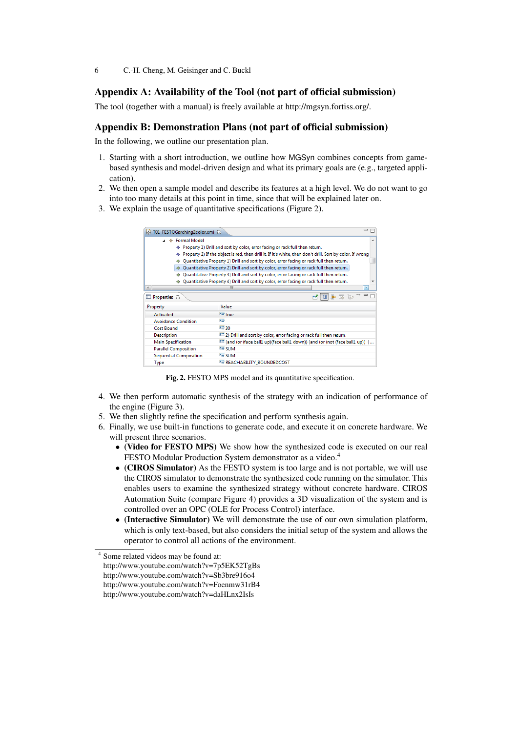6 C.-H. Cheng, M. Geisinger and C. Buckl

# Appendix A: Availability of the Tool (not part of official submission)

The tool (together with a manual) is freely available at http://mgsyn.fortiss.org/.

# Appendix B: Demonstration Plans (not part of official submission)

In the following, we outline our presentation plan.

- 1. Starting with a short introduction, we outline how MGSyn combines concepts from gamebased synthesis and model-driven design and what its primary goals are (e.g., targeted application).
- 2. We then open a sample model and describe its features at a high level. We do not want to go into too many details at this point in time, since that will be explained later on.
- 3. We explain the usage of quantitative specifications (Figure 2).

| T01 FESTOGarching2color.xmi 23                                                           |                                                                                                                           | $\qquad \qquad =$                                                     |  |  |  |  |
|------------------------------------------------------------------------------------------|---------------------------------------------------------------------------------------------------------------------------|-----------------------------------------------------------------------|--|--|--|--|
| ⊿ ◆ Formal Model                                                                         |                                                                                                                           |                                                                       |  |  |  |  |
|                                                                                          | ♦ Property 1) Drill and sort by color, error facing or rack full then return.                                             |                                                                       |  |  |  |  |
|                                                                                          | $\blacklozenge$ Property 2) If the object is red, then drill it. If it's white, then don't drill. Sort by color. If wrong |                                                                       |  |  |  |  |
| ۰                                                                                        | Quantitative Property 1) Drill and sort by color, error facing or rack full then return.                                  |                                                                       |  |  |  |  |
| Quantitative Property 2) Drill and sort by color, error facing or rack full then return. |                                                                                                                           |                                                                       |  |  |  |  |
| Quantitative Property 3) Drill and sort by color, error facing or rack full then return. |                                                                                                                           |                                                                       |  |  |  |  |
| Quantitative Property 4) Drill and sort by color, error facing or rack full then return. |                                                                                                                           |                                                                       |  |  |  |  |
| $\vert$ (                                                                                | P.                                                                                                                        |                                                                       |  |  |  |  |
| $*$ and $*$<br>Properties $\boxtimes$                                                    |                                                                                                                           |                                                                       |  |  |  |  |
| Property                                                                                 | Value                                                                                                                     |                                                                       |  |  |  |  |
| Activated                                                                                | $E \equiv true$                                                                                                           |                                                                       |  |  |  |  |
| <b>Avoidance Condition</b>                                                               | 医                                                                                                                         |                                                                       |  |  |  |  |
| <b>Cost Bound</b>                                                                        | 『특 30                                                                                                                     |                                                                       |  |  |  |  |
| <b>Description</b>                                                                       |                                                                                                                           | [E 2] Drill and sort by color, error facing or rack full then return. |  |  |  |  |
| <b>Main Specification</b>                                                                | [E] (and (or (face ball1 up)(face ball1 down)) (and (or (not (face ball1 up)) (                                           |                                                                       |  |  |  |  |
| <b>Parallel Composition</b>                                                              | <b>⊑≣ SUM</b>                                                                                                             |                                                                       |  |  |  |  |
| <b>Sequential Composition</b>                                                            | <b>L≣ SUM</b>                                                                                                             |                                                                       |  |  |  |  |
| Type                                                                                     |                                                                                                                           | <b>E REACHABILITY BOUNDEDCOST</b>                                     |  |  |  |  |

Fig. 2. FESTO MPS model and its quantitative specification.

- 4. We then perform automatic synthesis of the strategy with an indication of performance of the engine (Figure 3).
- 5. We then slightly refine the specification and perform synthesis again.
- 6. Finally, we use built-in functions to generate code, and execute it on concrete hardware. We will present three scenarios.
	- (Video for FESTO MPS) We show how the synthesized code is executed on our real FESTO Modular Production System demonstrator as a video.<sup>4</sup>
	- (CIROS Simulator) As the FESTO system is too large and is not portable, we will use the CIROS simulator to demonstrate the synthesized code running on the simulator. This enables users to examine the synthesized strategy without concrete hardware. CIROS Automation Suite (compare Figure 4) provides a 3D visualization of the system and is controlled over an OPC (OLE for Process Control) interface.
	- (Interactive Simulator) We will demonstrate the use of our own simulation platform, which is only text-based, but also considers the initial setup of the system and allows the operator to control all actions of the environment.

<sup>4</sup> Some related videos may be found at: http://www.youtube.com/watch?v=7p5EK52TgBs http://www.youtube.com/watch?v=Sb3bre916o4 http://www.youtube.com/watch?v=Foenmw31rB4 http://www.youtube.com/watch?v=daHLnx2IsIs